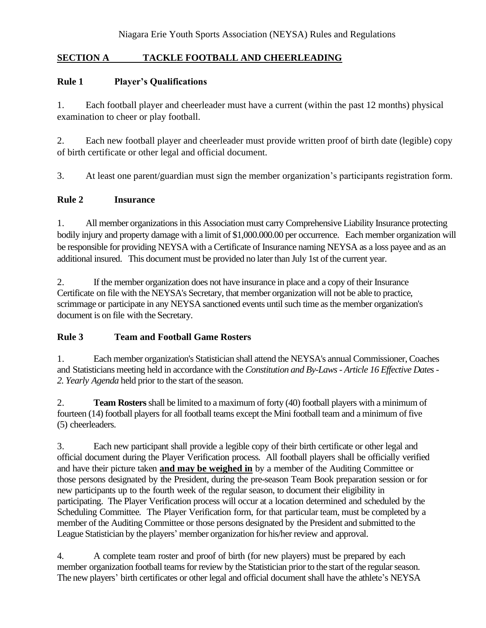### **SECTION A TACKLE FOOTBALL AND CHEERLEADING**

#### **Rule 1 Player's Qualifications**

1. Each football player and cheerleader must have a current (within the past 12 months) physical examination to cheer or play football.

2. Each new football player and cheerleader must provide written proof of birth date (legible) copy of birth certificate or other legal and official document.

3. At least one parent/guardian must sign the member organization's participants registration form.

#### **Rule 2 Insurance**

1. All member organizationsin this Association must carry Comprehensive Liability Insurance protecting bodily injury and property damage with a limit of \$1,000.000.00 per occurrence. Each member organization will be responsible for providing NEYSA with a Certificate of Insurance naming NEYSA as a loss payee and as an additional insured. This document must be provided no later than July 1st of the current year.

2. If the member organization does not have insurance in place and a copy of their Insurance Certificate on file with the NEYSA's Secretary, that member organization will not be able to practice, scrimmage or participate in any NEYSA sanctioned events until such time as the member organization's document is on file with the Secretary.

### **Rule 3 Team and Football Game Rosters**

1. Each member organization's Statistician shall attend the NEYSA's annual Commissioner, Coaches and Statisticians meeting held in accordance with the *Constitution and By-Laws- Article 16 Effective Dates-2. Yearly Agenda* held prior to the start of the season.

2. **Team Rosters**shall be limited to a maximum of forty (40) football players with a minimum of fourteen (14) football players for all football teams except the Mini football team and a minimum of five (5) cheerleaders.

3. Each new participant shall provide a legible copy of their birth certificate or other legal and official document during the Player Verification process. All football players shall be officially verified and have their picture taken **and may be weighed in** by a member of the Auditing Committee or those persons designated by the President, during the pre-season Team Book preparation session or for new participants up to the fourth week of the regular season, to document their eligibility in participating. The Player Verification process will occur at a location determined and scheduled by the Scheduling Committee. The Player Verification form, for that particular team, must be completed by a member of the Auditing Committee or those persons designated by the President and submitted to the League Statistician by the players' member organization for his/her review and approval.

4. A complete team roster and proof of birth (for new players) must be prepared by each member organization football teams for review by the Statistician prior to the start of the regular season. The new players' birth certificates or other legal and official document shall have the athlete's NEYSA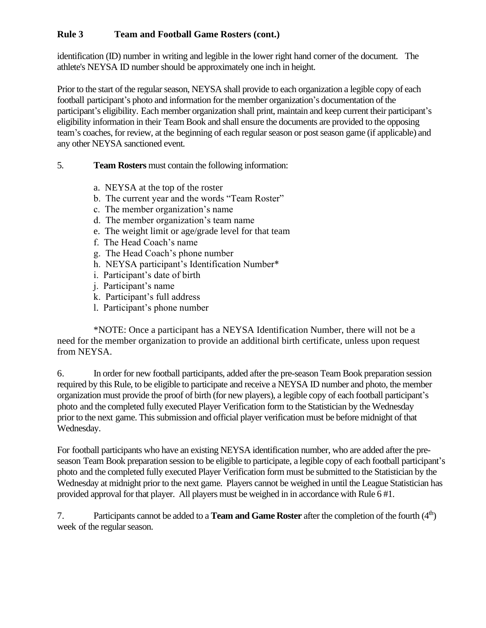identification (ID) number in writing and legible in the lower right hand corner of the document. The athlete's NEYSA ID number should be approximately one inch in height.

Prior to the start of the regular season, NEYSA shall provide to each organization a legible copy of each football participant's photo and information for the member organization's documentation of the participant's eligibility. Each member organization shall print, maintain and keep current their participant's eligibility information in their Team Book and shall ensure the documents are provided to the opposing team's coaches, for review, at the beginning of each regular season or post season game (if applicable) and any other NEYSA sanctioned event.

### 5. **Team Rosters** must contain the following information:

- a. NEYSA at the top of the roster
- b. The current year and the words "Team Roster"
- c. The member organization's name
- d. The member organization's team name
- e. The weight limit or age/grade level for that team
- f. The Head Coach's name
- g. The Head Coach's phone number
- h. NEYSA participant's Identification Number\*
- i. Participant's date of birth
- j. Participant's name
- k. Participant's full address
- l. Participant's phone number

\*NOTE: Once a participant has a NEYSA Identification Number, there will not be a need for the member organization to provide an additional birth certificate, unless upon request from NEYSA.

6. In order for new football participants, added after the pre-season Team Book preparation session required by this Rule, to be eligible to participate and receive a NEYSA ID number and photo, the member organization must provide the proof of birth (for new players), a legible copy of each football participant's photo and the completed fully executed Player Verification form to the Statistician by the Wednesday prior to the next game. This submission and official player verification must be before midnight of that Wednesday.

For football participants who have an existing NEYSA identification number, who are added after the preseason Team Book preparation session to be eligible to participate, a legible copy of each football participant's photo and the completed fully executed Player Verification form must be submitted to the Statistician by the Wednesday at midnight prior to the next game. Players cannot be weighed in until the League Statistician has provided approval for that player. All players must be weighed in in accordance with Rule 6 #1.

7. Participants cannot be added to a **Team and Game Roster** after the completion of the fourth (4<sup>th</sup>) week of the regular season.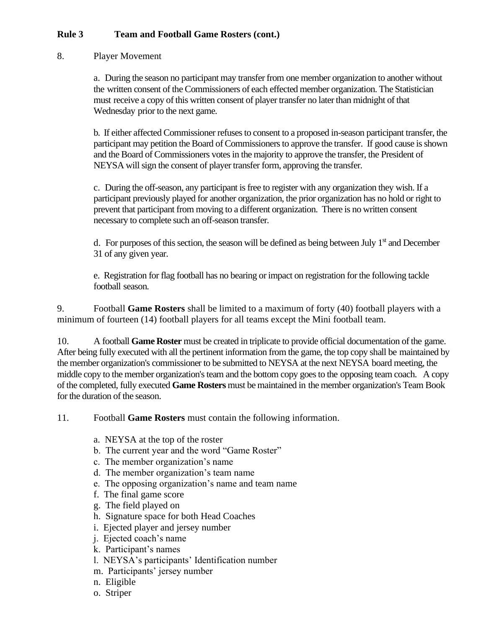#### 8. Player Movement

a. During the season no participant may transfer from one member organization to another without the written consent of theCommissioners of each effected member organization. The Statistician must receive a copy of this written consent of player transfer no later than midnight of that Wednesday prior to the next game.

b. If either affected Commissioner refusesto consent to a proposed in-season participant transfer, the participant may petition the Board of Commissioners to approve the transfer. If good cause is shown and the Board of Commissioners votes in the majority to approve the transfer, the President of NEYSA will sign the consent of player transfer form, approving the transfer.

c. During the off-season, any participant isfree to register with any organization they wish. If a participant previously played for another organization, the prior organization has no hold or right to prevent that participant from moving to a different organization. There is no written consent necessary to complete such an off-season transfer.

d. For purposes of this section, the season will be defined as being between July 1<sup>st</sup> and December 31 of any given year.

e. Registration for flag football has no bearing or impact on registration for the following tackle football season.

9. Football **Game Rosters** shall be limited to a maximum of forty (40) football players with a minimum of fourteen (14) football players for all teams except the Mini football team.

10. A football **Game Roster** must be created in triplicate to provide official documentation of the game. After being fully executed with all the pertinent information from the game, the top copy shall be maintained by the member organization's commissioner to be submitted to NEYSA at the next NEYSA board meeting, the middle copy to the member organization's team and the bottom copy goes to the opposing team coach. A copy of the completed, fully executed **Game Rosters** must be maintained in the member organization's Team Book for the duration of the season.

11. Football **Game Rosters** must contain the following information.

- a. NEYSA at the top of the roster
- b. The current year and the word "Game Roster"
- c. The member organization's name
- d. The member organization's team name
- e. The opposing organization's name and team name
- f. The final game score
- g. The field played on
- h. Signature space for both Head Coaches
- i. Ejected player and jersey number
- j. Ejected coach's name
- k. Participant's names
- l. NEYSA's participants' Identification number
- m. Participants' jersey number
- n. Eligible
- o. Striper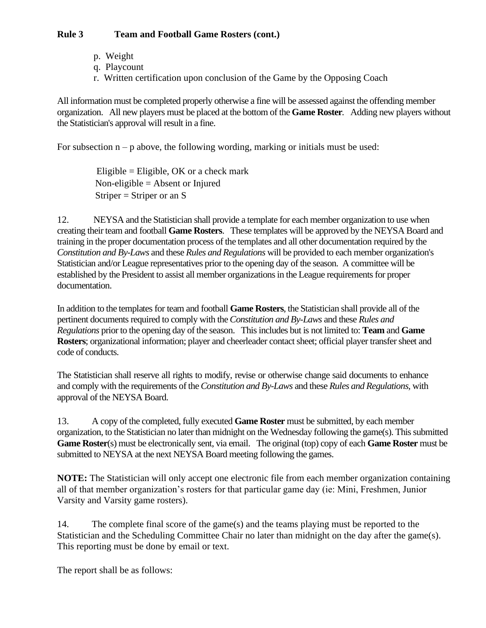- p. Weight
- q. Playcount
- r. Written certification upon conclusion of the Game by the Opposing Coach

All information must be completed properly otherwise a fine will be assessed against the offending member organization. All new players must be placed at the bottom of the **Game Roster***.* Adding new players without the Statistician's approval will result in a fine.

For subsection  $n - p$  above, the following wording, marking or initials must be used:

Eligible = Eligible, OK or a check mark Non-eligible = Absent or Injured Striper  $=$  Striper or an S

12. NEYSA and the Statistician shall provide a template for each member organization to use when creating their team and football **Game Rosters**. These templates will be approved by the NEYSA Board and training in the proper documentation process of the templates and all other documentation required by the *Constitution and By-Laws* and these *Rules and Regulations* will be provided to each member organization's Statistician and/or League representatives prior to the opening day of the season. A committee will be established by the President to assist all member organizations in the League requirements for proper documentation.

In addition to the templatesfor team and football **Game Rosters**, the Statistician shall provide all of the pertinent documents required to comply with the *Constitution* and *By-Laws* and these *Rules* and *Regulations* prior to the opening day of the season. Thisincludes but is not limited to: **Team** and **Game Rosters**; organizational information; player and cheerleader contact sheet; official player transfer sheet and code of conducts.

The Statistician shall reserve all rights to modify, revise or otherwise change said documents to enhance and comply with the requirements of the*Constitution and By-Laws* and these *Rules and Regulations,* with approval of the NEYSA Board.

13. A copy of the completed, fully executed **Game Roster** must be submitted, by each member organization, to the Statistician no later than midnight on the Wednesday following the game(s). Thissubmitted **Game Roster**(s) must be electronically sent, via email. The original (top) copy of each **Game Roster** must be submitted to NEYSA at the next NEYSA Board meeting following the games.

**NOTE:** The Statistician will only accept one electronic file from each member organization containing all of that member organization's rosters for that particular game day (ie: Mini, Freshmen, Junior Varsity and Varsity game rosters).

14. The complete final score of the game(s) and the teams playing must be reported to the Statistician and the Scheduling Committee Chair no later than midnight on the day after the game(s). This reporting must be done by email or text.

The report shall be as follows: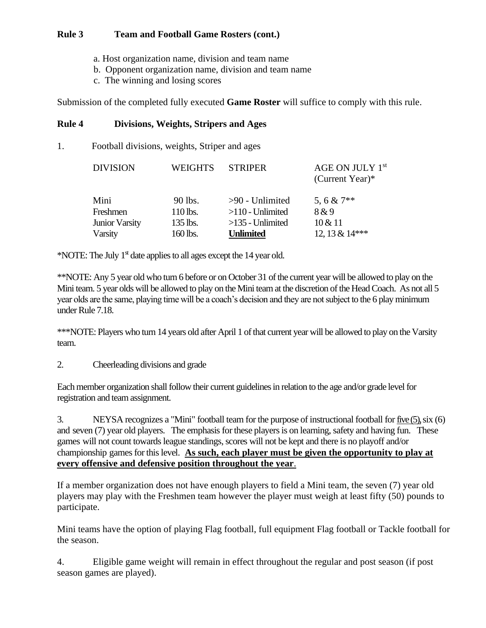- a. Host organization name, division and team name
- b. Opponent organization name, division and team name
- c. The winning and losing scores

Submission of the completed fully executed **Game Roster** will suffice to comply with this rule.

#### **Rule 4 Divisions, Weights, Stripers and Ages**

1. Football divisions, weights, Striper and ages

| <b>DIVISION</b>       | <b>WEIGHTS</b> | <b>STRIPER</b>     | AGE ON JULY 1st<br>(Current Year) $*$ |
|-----------------------|----------------|--------------------|---------------------------------------|
| Mini                  | 90 lbs.        | $>90$ - Unlimited  | 5, 6 & $7**$                          |
| Freshmen              | 110 lbs.       | $>110$ - Unlimited | 8 & 9                                 |
| <b>Junior Varsity</b> | 135 lbs.       | $>135$ - Unlimited | $10 \& 11$                            |
| Varsity               | 160 lbs.       | <b>Unlimited</b>   | 12, 13 & 14***                        |

\*NOTE: The July  $1<sup>st</sup>$  date applies to all ages except the 14 year old.

\*\*NOTE: Any 5 year old who turn 6 before or on October 31 of the current year will be allowed to play on the Mini team. 5 year olds will be allowed to play on the Mini team at the discretion of the Head Coach. As not all 5 year olds are the same, playing time will be a coach's decision and they are not subject to the 6 play minimum under Rule 7.18.

\*\*\*NOTE: Players who turn 14 years old after April 1 of that current year will be allowed to play on the Varsity team.

2. Cheerleading divisions and grade

Each member organization shall follow their current guidelines in relation to the age and/or grade level for registration and team assignment.

3. NEYSA recognizes a "Mini" football team for the purpose of instructional football for five (5),six (6) and seven (7) year old players. The emphasis for these players is on learning, safety and having fun. These games will not count towards league standings, scores will not be kept and there is no playoff and/or championship games for this level. As such, each player must be given the opportunity to play at **every offensive and defensive position throughout the year**.

If a member organization does not have enough players to field a Mini team, the seven (7) year old players may play with the Freshmen team however the player must weigh at least fifty (50) pounds to participate.

Mini teams have the option of playing Flag football, full equipment Flag football or Tackle football for the season.

4. Eligible game weight will remain in effect throughout the regular and post season (if post season games are played).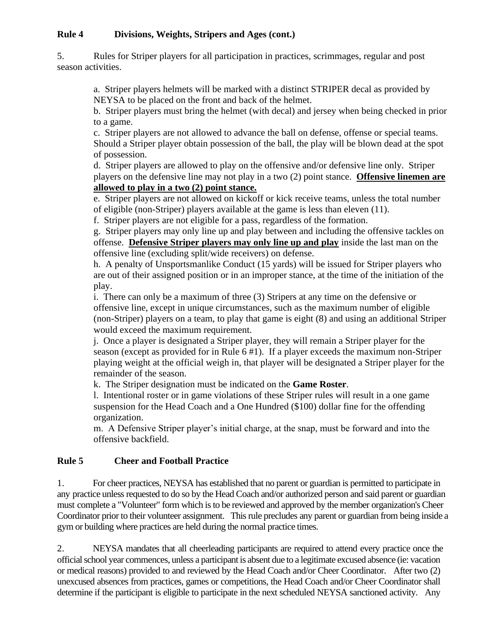### **Rule 4 Divisions, Weights, Stripers and Ages (cont.)**

5. Rules for Striper players for all participation in practices, scrimmages, regular and post season activities.

a. Striper players helmets will be marked with a distinct STRIPER decal as provided by NEYSA to be placed on the front and back of the helmet.

b. Striper players must bring the helmet (with decal) and jersey when being checked in prior to a game.

c. Striper players are not allowed to advance the ball on defense, offense or special teams. Should a Striper player obtain possession of the ball, the play will be blown dead at the spot of possession.

d. Striper players are allowed to play on the offensive and/or defensive line only. Striper players on the defensive line may not play in a two (2) point stance. **Offensive linemen are allowed to play in a two (2) point stance.**

e. Striper players are not allowed on kickoff or kick receive teams, unless the total number of eligible (non-Striper) players available at the game is less than eleven (11).

f. Striper players are not eligible for a pass, regardless of the formation.

g. Striper players may only line up and play between and including the offensive tackles on offense. **Defensive Striper players may only line up and play** inside the last man on the offensive line (excluding split/wide receivers) on defense.

h. A penalty of Unsportsmanlike Conduct (15 yards) will be issued for Striper players who are out of their assigned position or in an improper stance, at the time of the initiation of the play.

i. There can only be a maximum of three (3) Stripers at any time on the defensive or offensive line, except in unique circumstances, such as the maximum number of eligible (non-Striper) players on a team, to play that game is eight (8) and using an additional Striper would exceed the maximum requirement.

j. Once a player is designated a Striper player, they will remain a Striper player for the season (except as provided for in Rule 6 #1). If a player exceeds the maximum non-Striper playing weight at the official weigh in, that player will be designated a Striper player for the remainder of the season.

k. The Striper designation must be indicated on the **Game Roster**.

l. Intentional roster or in game violations of these Striper rules will result in a one game suspension for the Head Coach and a One Hundred (\$100) dollar fine for the offending organization.

m. A Defensive Striper player's initial charge, at the snap, must be forward and into the offensive backfield.

### **Rule 5 Cheer and Football Practice**

1. For cheer practices, NEYSA has established that no parent or guardian is permitted to participate in any practice unless requested to do so by the Head Coach and/or authorized person and said parent or guardian must complete a "Volunteer" form which isto be reviewed and approved by the member organization's Cheer Coordinator prior to their volunteer assignment. Thisrule precludes any parent or guardian from being inside a gym or building where practices are held during the normal practice times.

2. NEYSA mandates that all cheerleading participants are required to attend every practice once the officialschool year commences, unless a participant is absent due to a legitimate excused absence (ie: vacation or medical reasons) provided to and reviewed by the Head Coach and/or Cheer Coordinator. After two (2) unexcused absences from practices, games or competitions, the Head Coach and/or Cheer Coordinator shall determine if the participant is eligible to participate in the next scheduled NEYSA sanctioned activity. Any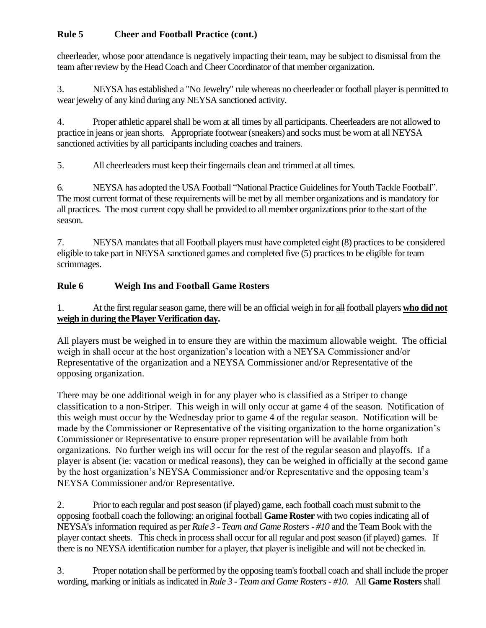# **Rule 5 Cheer and Football Practice (cont.)**

cheerleader, whose poor attendance is negatively impacting their team, may be subject to dismissal from the team after review by the Head Coach and Cheer Coordinator of that member organization.

3. NEYSA has established a "No Jewelry" rule whereas no cheerleader or football player is permitted to wear jewelry of any kind during any NEYSA sanctioned activity.

4. Proper athletic apparel shall be worn at all times by all participants. Cheerleaders are not allowed to practice in jeans or jean shorts. Appropriate footwear (sneakers) and socks must be worn at all NEYSA sanctioned activities by all participants including coaches and trainers.

5. All cheerleaders must keep their fingernails clean and trimmed at all times.

6. NEYSA has adopted the USA Football "National Practice Guidelinesfor Youth Tackle Football". The most current format of these requirements will be met by all member organizations and is mandatory for all practices. The most current copy shall be provided to all member organizations prior to the start of the season.

7. NEYSA mandatesthat all Football players must have completed eight (8) practicesto be considered eligible to take part in NEYSA sanctioned games and completed five (5) practices to be eligible for team scrimmages.

# **Rule 6 Weigh Ins and Football Game Rosters**

1. At the first regularseason game, there will be an official weigh in for all football players **who did not weigh in during the Player Verification day.** 

All players must be weighed in to ensure they are within the maximum allowable weight. The official weigh in shall occur at the host organization's location with a NEYSA Commissioner and/or Representative of the organization and a NEYSA Commissioner and/or Representative of the opposing organization.

There may be one additional weigh in for any player who is classified as a Striper to change classification to a non-Striper. This weigh in will only occur at game 4 of the season. Notification of this weigh must occur by the Wednesday prior to game 4 of the regular season. Notification will be made by the Commissioner or Representative of the visiting organization to the home organization's Commissioner or Representative to ensure proper representation will be available from both organizations. No further weigh ins will occur for the rest of the regular season and playoffs. If a player is absent (ie: vacation or medical reasons), they can be weighed in officially at the second game by the host organization's NEYSA Commissioner and/or Representative and the opposing team's NEYSA Commissioner and/or Representative.

2. Prior to each regular and post season (if played) game, each football coach must submit to the opposing football coach the following: an original football **Game Roster** with two copiesindicating all of NEYSA's information required as per *Rule 3 - Team and Game Rosters - #10* and the Team Book with the player contact sheets. This check in process shall occur for all regular and post season (if played) games. If there is no NEYSA identification number for a player, that player isineligible and will not be checked in.

3. Proper notation shall be performed by the opposing team'sfootball coach and shall include the proper wording, marking or initials asindicated in *Rule 3 - Team and Game Rosters- #10*. All **Game Rosters**shall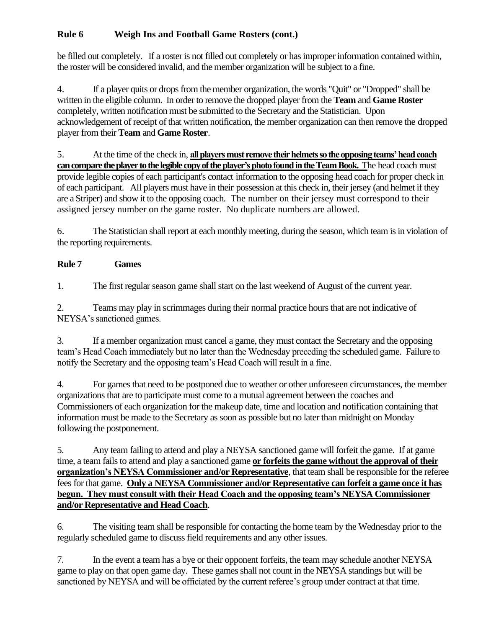be filled out completely. If a roster is not filled out completely or hasimproper information contained within, the roster will be considered invalid, and the member organization will be subject to a fine.

4. If a player quits or dropsfrom the member organization, the words "Quit" or "Dropped" shall be written in the eligible column. In order to remove the dropped player from the **Team** and **Game Roster**  completely, written notification must be submitted to the Secretary and the Statistician. Upon acknowledgement of receipt of that written notification, the member organization can then remove the dropped player from their **Team** and **Game Roster**.

5. At the time of the check in, **all players must remove their helmets so the opposing teams' head coach can compare the player to the legible copy of the player's photo found in the Team Book.** The head coach must provide legible copies of each participant's contact information to the opposing head coach for proper check in of each participant. All players must have in their possession at this check in, their jersey (and helmet if they are a Striper) and show it to the opposing coach. The number on their jersey must correspond to their assigned jersey number on the game roster. No duplicate numbers are allowed.

6. The Statistician shall report at each monthly meeting, during the season, which team isin violation of the reporting requirements.

# **Rule 7 Games**

1. The first regular season game shall start on the last weekend of August of the current year.

2. Teams may play in scrimmages during their normal practice hours that are not indicative of NEYSA's sanctioned games.

3. If a member organization must cancel a game, they must contact the Secretary and the opposing team's Head Coach immediately but no later than the Wednesday preceding the scheduled game. Failure to notify the Secretary and the opposing team's Head Coach will result in a fine.

4. For games that need to be postponed due to weather or other unforeseen circumstances, the member organizations that are to participate must come to a mutual agreement between the coaches and Commissioners of each organization for the makeup date, time and location and notification containing that information must be made to the Secretary as soon as possible but no later than midnight on Monday following the postponement.

5. Any team failing to attend and play a NEYSA sanctioned game will forfeit the game. If at game time, a team fails to attend and play a sanctioned game **or forfeits the game without the approval of their organization's NEYSA Commissioner and/or Representative**, that team shall be responsible for the referee fees for that game. **Only a NEYSA Commissioner and/or Representative can forfeit a game once it has begun. They must consult with their Head Coach and the opposing team's NEYSA Commissioner and/or Representative and Head Coach**.

6. The visiting team shall be responsible for contacting the home team by the Wednesday prior to the regularly scheduled game to discuss field requirements and any other issues.

7. In the event a team has a bye or their opponent forfeits, the team may schedule another NEYSA game to play on that open game day. These games shall not count in the NEYSA standings but will be sanctioned by NEYSA and will be officiated by the current referee's group under contract at that time.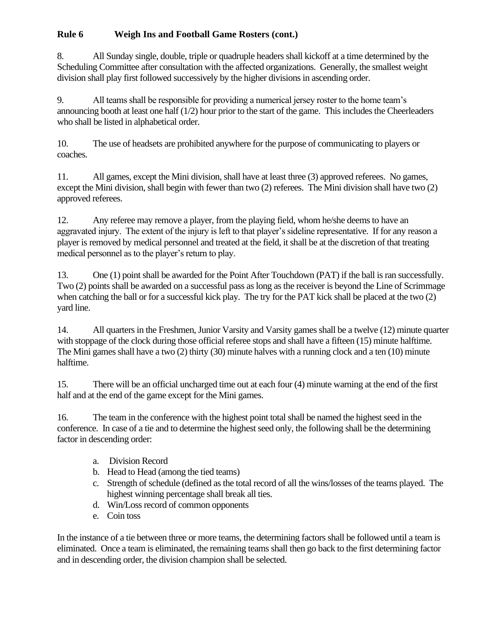8. All Sunday single, double, triple or quadruple headers shall kickoff at a time determined by the Scheduling Committee after consultation with the affected organizations. Generally, the smallest weight division shall play first followed successively by the higher divisions in ascending order.

9. All teams shall be responsible for providing a numerical jersey roster to the home team's announcing booth at least one half (1/2) hour prior to the start of the game. This includes the Cheerleaders who shall be listed in alphabetical order.

10. The use of headsets are prohibited anywhere for the purpose of communicating to players or coaches.

11. All games, except the Mini division, shall have at least three (3) approved referees. No games, except the Mini division, shall begin with fewer than two (2) referees. The Mini division shall have two (2) approved referees.

12. Any referee may remove a player, from the playing field, whom he/she deems to have an aggravated injury. The extent of the injury is left to that player's sideline representative. If for any reason a player is removed by medical personnel and treated at the field, it shall be at the discretion of that treating medical personnel as to the player's return to play.

13. One (1) point shall be awarded for the Point After Touchdown (PAT) if the ball is ran successfully. Two (2) points shall be awarded on a successful pass as long as the receiver is beyond the Line of Scrimmage when catching the ball or for a successful kick play. The try for the PAT kick shall be placed at the two (2) yard line.

14. All quarters in the Freshmen, Junior Varsity and Varsity games shall be a twelve (12) minute quarter with stoppage of the clock during those official referee stops and shall have a fifteen (15) minute halftime. The Mini games shall have a two (2) thirty (30) minute halves with a running clock and a ten (10) minute halftime.

15. There will be an official uncharged time out at each four (4) minute warning at the end of the first half and at the end of the game except for the Mini games.

16. The team in the conference with the highest point total shall be named the highest seed in the conference. In case of a tie and to determine the highest seed only, the following shall be the determining factor in descending order:

- a. Division Record
- b. Head to Head (among the tied teams)
- c. Strength of schedule (defined as the total record of all the wins/losses of the teams played. The highest winning percentage shall break all ties.
- d. Win/Loss record of common opponents
- e. Coin toss

In the instance of a tie between three or more teams, the determining factors shall be followed until a team is eliminated. Once a team is eliminated, the remaining teams shall then go back to the first determining factor and in descending order, the division champion shall be selected.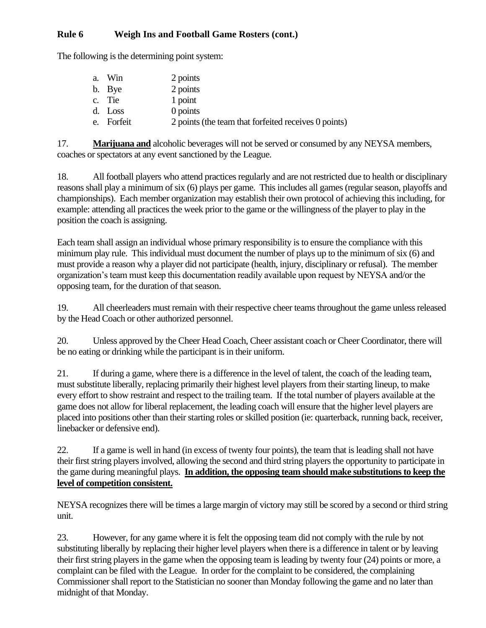The following is the determining point system:

| a. Win     | 2 points                                             |
|------------|------------------------------------------------------|
| b. Bye     | 2 points                                             |
| c. Tie     | 1 point                                              |
| d. Loss    | 0 points                                             |
| e. Forfeit | 2 points (the team that forfeited receives 0 points) |

17. **Marijuana and** alcoholic beverages will not be served or consumed by any NEYSA members, coaches or spectators at any event sanctioned by the League.

18. All football players who attend practices regularly and are not restricted due to health or disciplinary reasons shall play a minimum of six (6) plays per game. This includes all games (regular season, playoffs and championships). Each member organization may establish their own protocol of achieving this including, for example: attending all practices the week prior to the game or the willingness of the player to play in the position the coach is assigning.

Each team shall assign an individual whose primary responsibility is to ensure the compliance with this minimum play rule. This individual must document the number of plays up to the minimum of six (6) and must provide a reason why a player did not participate (health, injury, disciplinary or refusal). The member organization's team must keep this documentation readily available upon request by NEYSA and/or the opposing team, for the duration of that season.

19. All cheerleaders must remain with their respective cheer teams throughout the game unless released by the Head Coach or other authorized personnel.

20. Unless approved by the Cheer Head Coach, Cheer assistant coach or Cheer Coordinator, there will be no eating or drinking while the participant is in their uniform.

21. If during a game, where there is a difference in the level of talent, the coach of the leading team, must substitute liberally, replacing primarily their highest level players from their starting lineup, to make every effort to show restraint and respect to the trailing team. If the total number of players available at the game does not allow for liberal replacement, the leading coach will ensure that the higher level players are placed into positions other than their starting roles or skilled position (ie: quarterback, running back, receiver, linebacker or defensive end).

22. If a game is well in hand (in excess of twenty four points), the team that is leading shall not have their first string players involved, allowing the second and third string players the opportunity to participate in the game during meaningful plays. **In addition, the opposing team should make substitutions to keep the level of competition consistent.**

NEYSA recognizes there will be times a large margin of victory may still be scored by a second or third string unit.

23. However, for any game where it is felt the opposing team did not comply with the rule by not substituting liberally by replacing their higher level players when there is a difference in talent or by leaving their first string players in the game when the opposing team is leading by twenty four (24) points or more, a complaint can be filed with the League. In order for the complaint to be considered, the complaining Commissioner shall report to the Statistician no sooner than Monday following the game and no later than midnight of that Monday.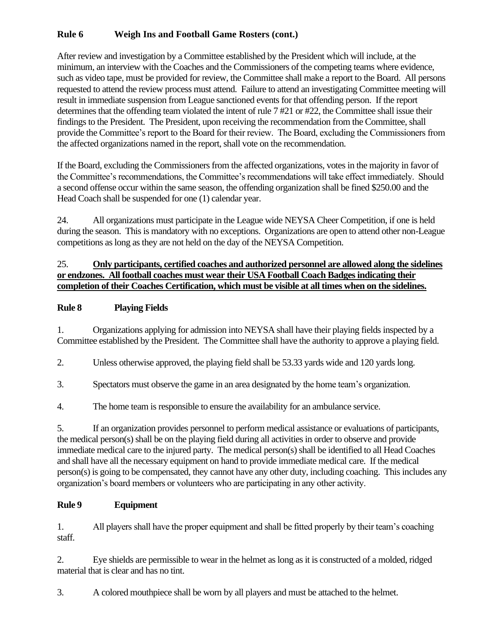After review and investigation by a Committee established by the President which will include, at the minimum, an interview with the Coaches and the Commissioners of the competing teams where evidence, such as video tape, must be provided for review, the Committee shall make a report to the Board. All persons requested to attend the review process must attend. Failure to attend an investigating Committee meeting will result in immediate suspension from League sanctioned events for that offending person. If the report determines that the offending team violated the intent of rule 7 #21 or #22, the Committee shall issue their findings to the President. The President, upon receiving the recommendation from the Committee, shall provide the Committee's report to the Board for their review. The Board, excluding the Commissioners from the affected organizations named in the report, shall vote on the recommendation.

If the Board, excluding the Commissioners from the affected organizations, votes in the majority in favor of the Committee's recommendations, the Committee's recommendations will take effect immediately. Should a second offense occur within the same season, the offending organization shall be fined \$250.00 and the Head Coach shall be suspended for one (1) calendar year.

24. All organizations must participate in the League wide NEYSA Cheer Competition, if one is held during the season. This is mandatory with no exceptions. Organizations are open to attend other non-League competitions as long as they are not held on the day of the NEYSA Competition.

### 25. **Only participants, certified coaches and authorized personnel are allowed along the sidelines or endzones. All football coaches must wear their USA Football Coach Badges indicating their completion of their Coaches Certification, which must be visible at all times when on the sidelines.**

### **Rule 8 Playing Fields**

1. Organizations applying for admission into NEYSA shall have their playing fields inspected by a Committee established by the President. The Committee shall have the authority to approve a playing field.

2. Unless otherwise approved, the playing field shall be 53.33 yards wide and 120 yards long.

3. Spectators must observe the game in an area designated by the home team's organization.

4. The home team is responsible to ensure the availability for an ambulance service.

5. If an organization provides personnel to perform medical assistance or evaluations of participants, the medical person(s) shall be on the playing field during all activities in order to observe and provide immediate medical care to the injured party. The medical person(s) shall be identified to all Head Coaches and shall have all the necessary equipment on hand to provide immediate medical care. If the medical person(s) is going to be compensated, they cannot have any other duty, including coaching. This includes any organization's board members or volunteers who are participating in any other activity.

### **Rule 9 Equipment**

1. All players shall have the proper equipment and shall be fitted properly by their team's coaching staff.

2. Eye shields are permissible to wear in the helmet as long as it is constructed of a molded, ridged material that is clear and has no tint.

3. A colored mouthpiece shall be worn by all players and must be attached to the helmet.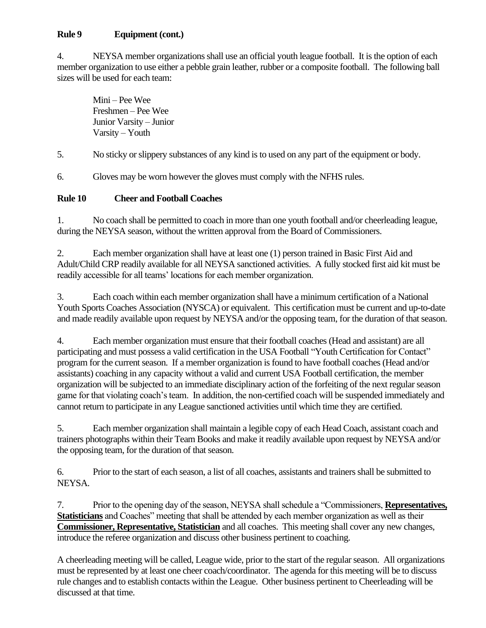### **Rule 9 Equipment (cont.)**

4. NEYSA member organizations shall use an official youth league football. It is the option of each member organization to use either a pebble grain leather, rubber or a composite football. The following ball sizes will be used for each team:

Mini – Pee Wee Freshmen – Pee Wee Junior Varsity – Junior Varsity – Youth

5. No sticky or slippery substances of any kind is to used on any part of the equipment or body.

6. Gloves may be worn however the gloves must comply with the NFHS rules.

### **Rule 10 Cheer and Football Coaches**

1. No coach shall be permitted to coach in more than one youth football and/or cheerleading league, during the NEYSA season, without the written approval from the Board of Commissioners.

2. Each member organization shall have at least one (1) person trained in Basic First Aid and Adult/Child CRP readily available for all NEYSA sanctioned activities. A fully stocked first aid kit must be readily accessible for all teams' locations for each member organization.

3. Each coach within each member organization shall have a minimum certification of a National Youth Sports Coaches Association (NYSCA) or equivalent. This certification must be current and up-to-date and made readily available upon request by NEYSA and/or the opposing team, for the duration of that season.

4. Each member organization must ensure that their football coaches (Head and assistant) are all participating and must possess a valid certification in the USA Football "Youth Certification for Contact" program for the current season. If a member organization is found to have football coaches (Head and/or assistants) coaching in any capacity without a valid and current USA Football certification, the member organization will be subjected to an immediate disciplinary action of the forfeiting of the next regular season game for that violating coach's team. In addition, the non-certified coach will be suspended immediately and cannot return to participate in any League sanctioned activities until which time they are certified.

5. Each member organization shall maintain a legible copy of each Head Coach, assistant coach and trainers photographs within their Team Books and make it readily available upon request by NEYSA and/or the opposing team, for the duration of that season.

6. Prior to the start of each season, a list of all coaches, assistants and trainers shall be submitted to NEYSA.

7. Prior to the opening day of the season, NEYSA shall schedule a "Commissioners, **Representatives, Statisticians** and Coaches" meeting that shall be attended by each member organization as well as their **Commissioner, Representative, Statistician** and all coaches. This meeting shall cover any new changes, introduce the referee organization and discuss other business pertinent to coaching.

A cheerleading meeting will be called, League wide, prior to the start of the regular season. All organizations must be represented by at least one cheer coach/coordinator. The agenda for this meeting will be to discuss rule changes and to establish contacts within the League. Other business pertinent to Cheerleading will be discussed at that time.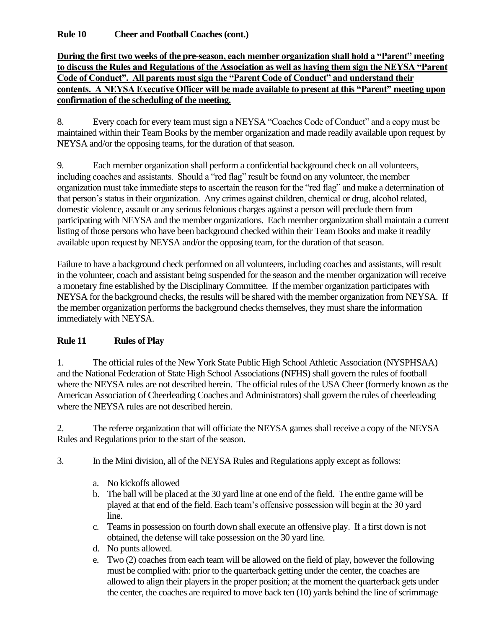**Rule 10 Cheer and Football Coaches (cont.)**

### **During the first two weeks of the pre-season, each member organization shall hold a "Parent" meeting to discuss the Rules and Regulations of the Association as well as having them sign the NEYSA "Parent Code of Conduct". All parents must sign the "Parent Code of Conduct" and understand their contents. A NEYSA Executive Officer will be made available to present at this "Parent" meeting upon confirmation of the scheduling of the meeting.**

8. Every coach for every team must sign a NEYSA "Coaches Code of Conduct" and a copy must be maintained within their Team Books by the member organization and made readily available upon request by NEYSA and/or the opposing teams, for the duration of that season.

9. Each member organization shall perform a confidential background check on all volunteers, including coaches and assistants. Should a "red flag" result be found on any volunteer, the member organization must take immediate steps to ascertain the reason for the "red flag" and make a determination of that person's status in their organization. Any crimes against children, chemical or drug, alcohol related, domestic violence, assault or any serious felonious charges against a person will preclude them from participating with NEYSA and the member organizations. Each member organization shall maintain a current listing of those persons who have been background checked within their Team Books and make it readily available upon request by NEYSA and/or the opposing team, for the duration of that season.

Failure to have a background check performed on all volunteers, including coaches and assistants, will result in the volunteer, coach and assistant being suspended for the season and the member organization will receive a monetary fine established by the Disciplinary Committee. If the member organization participates with NEYSA for the background checks, the results will be shared with the member organization from NEYSA. If the member organization performs the background checks themselves, they must share the information immediately with NEYSA.

### **Rule 11 Rules of Play**

1. The official rules of the New York State Public High School Athletic Association (NYSPHSAA) and the National Federation of State High School Associations (NFHS) shall govern the rules of football where the NEYSA rules are not described herein. The official rules of the USA Cheer (formerly known as the American Association of Cheerleading Coaches and Administrators) shall govern the rules of cheerleading where the NEYSA rules are not described herein.

2. The referee organization that will officiate the NEYSA games shall receive a copy of the NEYSA Rules and Regulations prior to the start of the season.

3. In the Mini division, all of the NEYSA Rules and Regulations apply except as follows:

- a. No kickoffs allowed
- b. The ball will be placed at the 30 yard line at one end of the field. The entire game will be played at that end of the field. Each team's offensive possession will begin at the 30 yard line.
- c. Teams in possession on fourth down shall execute an offensive play. If a first down is not obtained, the defense will take possession on the 30 yard line.
- d. No punts allowed.
- e. Two (2) coaches from each team will be allowed on the field of play, however the following must be complied with: prior to the quarterback getting under the center, the coaches are allowed to align their players in the proper position; at the moment the quarterback gets under the center, the coaches are required to move back ten (10) yards behind the line of scrimmage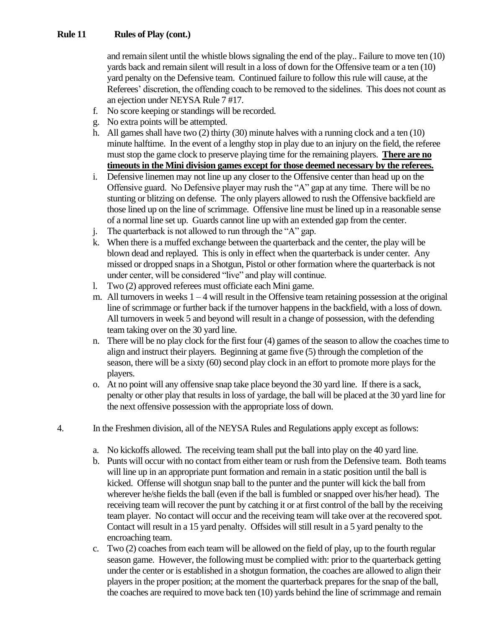### **Rule 11 Rules of Play (cont.)**

and remain silent until the whistle blows signaling the end of the play.. Failure to move ten (10) yards back and remain silent will result in a loss of down for the Offensive team or a ten (10) yard penalty on the Defensive team. Continued failure to follow this rule will cause, at the Referees' discretion, the offending coach to be removed to the sidelines. This does not count as an ejection under NEYSA Rule 7 #17.

- f. No score keeping or standings will be recorded.
- g. No extra points will be attempted.
- h. All games shall have two (2) thirty (30) minute halves with a running clock and a ten (10) minute halftime. In the event of a lengthy stop in play due to an injury on the field, the referee must stop the game clock to preserve playing time for the remaining players. **There are no timeouts in the Mini division games except for those deemed necessary by the referees.**
- i. Defensive linemen may not line up any closer to the Offensive center than head up on the Offensive guard. No Defensive player may rush the "A" gap at any time. There will be no stunting or blitzing on defense. The only players allowed to rush the Offensive backfield are those lined up on the line of scrimmage. Offensive line must be lined up in a reasonable sense of a normal line set up. Guards cannot line up with an extended gap from the center.
- j. The quarterback is not allowed to run through the "A" gap.
- k. When there is a muffed exchange between the quarterback and the center, the play will be blown dead and replayed. This is only in effect when the quarterback is under center. Any missed or dropped snaps in a Shotgun, Pistol or other formation where the quarterback is not under center, will be considered "live" and play will continue.
- l. Two (2) approved referees must officiate each Mini game.
- m. All turnovers in weeks 1 4 will result in the Offensive team retaining possession at the original line of scrimmage or further back if the turnover happens in the backfield, with a loss of down. All turnovers in week 5 and beyond will result in a change of possession, with the defending team taking over on the 30 yard line.
- n. There will be no play clock for the first four (4) games of the season to allow the coaches time to align and instruct their players. Beginning at game five (5) through the completion of the season, there will be a sixty (60) second play clock in an effort to promote more plays for the players.
- o. At no point will any offensive snap take place beyond the 30 yard line. If there is a sack, penalty or other play that results in loss of yardage, the ball will be placed at the 30 yard line for the next offensive possession with the appropriate loss of down.
- 4. In the Freshmen division, all of the NEYSA Rules and Regulations apply except as follows:
	- a. No kickoffs allowed. The receiving team shall put the ball into play on the 40 yard line.
	- b. Punts will occur with no contact from either team or rush from the Defensive team. Both teams will line up in an appropriate punt formation and remain in a static position until the ball is kicked. Offense will shotgun snap ball to the punter and the punter will kick the ball from wherever he/she fields the ball (even if the ball is fumbled or snapped over his/her head). The receiving team will recover the punt by catching it or at first control of the ball by the receiving team player. No contact will occur and the receiving team will take over at the recovered spot. Contact will result in a 15 yard penalty. Offsides will still result in a 5 yard penalty to the encroaching team.
	- c. Two (2) coaches from each team will be allowed on the field of play, up to the fourth regular season game. However, the following must be complied with: prior to the quarterback getting under the center or is established in a shotgun formation, the coaches are allowed to align their players in the proper position; at the moment the quarterback prepares for the snap of the ball, the coaches are required to move back ten (10) yards behind the line of scrimmage and remain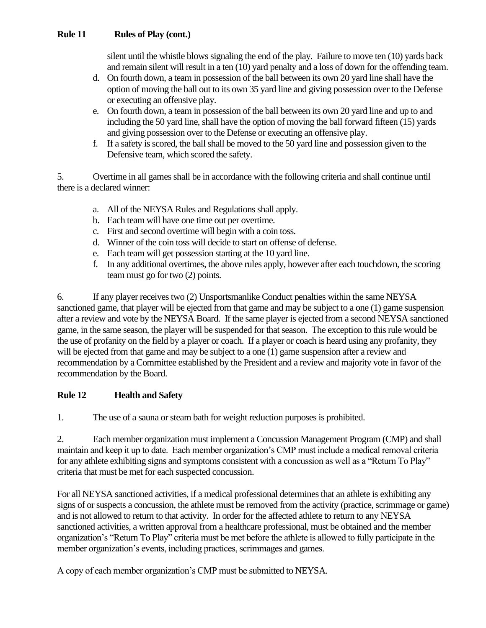### **Rule 11 Rules of Play (cont.)**

silent until the whistle blows signaling the end of the play. Failure to move ten (10) yards back and remain silent will result in a ten (10) yard penalty and a loss of down for the offending team.

- d. On fourth down, a team in possession of the ball between its own 20 yard line shall have the option of moving the ball out to its own 35 yard line and giving possession over to the Defense or executing an offensive play.
- e. On fourth down, a team in possession of the ball between its own 20 yard line and up to and including the 50 yard line, shall have the option of moving the ball forward fifteen (15) yards and giving possession over to the Defense or executing an offensive play.
- f. If a safety is scored, the ball shall be moved to the 50 yard line and possession given to the Defensive team, which scored the safety.

5. Overtime in all games shall be in accordance with the following criteria and shall continue until there is a declared winner:

- a. All of the NEYSA Rules and Regulations shall apply.
- b. Each team will have one time out per overtime.
- c. First and second overtime will begin with a coin toss.
- d. Winner of the coin toss will decide to start on offense of defense.
- e. Each team will get possession starting at the 10 yard line.
- f. In any additional overtimes, the above rules apply, however after each touchdown, the scoring team must go for two (2) points.

6. If any player receives two (2) Unsportsmanlike Conduct penalties within the same NEYSA sanctioned game, that player will be ejected from that game and may be subject to a one (1) game suspension after a review and vote by the NEYSA Board. If the same player is ejected from a second NEYSA sanctioned game, in the same season, the player will be suspended for that season. The exception to this rule would be the use of profanity on the field by a player or coach. If a player or coach is heard using any profanity, they will be ejected from that game and may be subject to a one (1) game suspension after a review and recommendation by a Committee established by the President and a review and majority vote in favor of the recommendation by the Board.

### **Rule 12 Health and Safety**

1. The use of a sauna or steam bath for weight reduction purposes is prohibited.

2. Each member organization must implement a Concussion Management Program (CMP) and shall maintain and keep it up to date. Each member organization's CMP must include a medical removal criteria for any athlete exhibiting signs and symptoms consistent with a concussion as well as a "Return To Play" criteria that must be met for each suspected concussion.

For all NEYSA sanctioned activities, if a medical professional determines that an athlete is exhibiting any signs of or suspects a concussion, the athlete must be removed from the activity (practice, scrimmage or game) and is not allowed to return to that activity. In order for the affected athlete to return to any NEYSA sanctioned activities, a written approval from a healthcare professional, must be obtained and the member organization's "Return To Play" criteria must be met before the athlete is allowed to fully participate in the member organization's events, including practices, scrimmages and games.

A copy of each member organization's CMP must be submitted to NEYSA.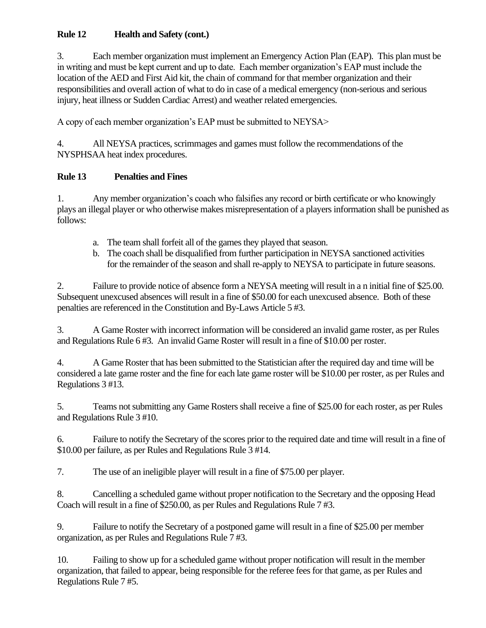# **Rule 12 Health and Safety (cont.)**

3. Each member organization must implement an Emergency Action Plan (EAP). This plan must be in writing and must be kept current and up to date. Each member organization's EAP must include the location of the AED and First Aid kit, the chain of command for that member organization and their responsibilities and overall action of what to do in case of a medical emergency (non-serious and serious injury, heat illness or Sudden Cardiac Arrest) and weather related emergencies.

A copy of each member organization's EAP must be submitted to NEYSA>

4. All NEYSA practices, scrimmages and games must follow the recommendations of the NYSPHSAA heat index procedures.

# **Rule 13 Penalties and Fines**

1. Any member organization's coach who falsifies any record or birth certificate or who knowingly plays an illegal player or who otherwise makes misrepresentation of a players information shall be punished as follows:

- a. The team shall forfeit all of the games they played that season.
- b. The coach shall be disqualified from further participation in NEYSA sanctioned activities for the remainder of the season and shall re-apply to NEYSA to participate in future seasons.

2. Failure to provide notice of absence form a NEYSA meeting will result in a n initial fine of \$25.00. Subsequent unexcused absences will result in a fine of \$50.00 for each unexcused absence. Both of these penalties are referenced in the Constitution and By-Laws Article 5 #3.

3. A Game Roster with incorrect information will be considered an invalid game roster, as per Rules and Regulations Rule 6 #3. An invalid Game Roster will result in a fine of \$10.00 per roster.

4. A Game Roster that has been submitted to the Statistician after the required day and time will be considered a late game roster and the fine for each late game roster will be \$10.00 per roster, as per Rules and Regulations 3 #13.

5. Teams not submitting any Game Rosters shall receive a fine of \$25.00 for each roster, as per Rules and Regulations Rule 3 #10.

6. Failure to notify the Secretary of the scores prior to the required date and time will result in a fine of \$10.00 per failure, as per Rules and Regulations Rule 3 #14.

7. The use of an ineligible player will result in a fine of \$75.00 per player.

8. Cancelling a scheduled game without proper notification to the Secretary and the opposing Head Coach will result in a fine of \$250.00, as per Rules and Regulations Rule 7 #3.

9. Failure to notify the Secretary of a postponed game will result in a fine of \$25.00 per member organization, as per Rules and Regulations Rule 7 #3.

10. Failing to show up for a scheduled game without proper notification will result in the member organization, that failed to appear, being responsible for the referee fees for that game, as per Rules and Regulations Rule 7 #5.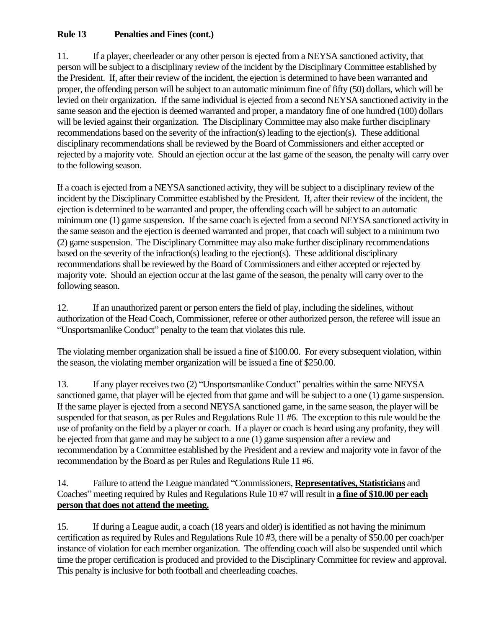# **Rule 13 Penalties and Fines (cont.)**

11. If a player, cheerleader or any other person is ejected from a NEYSA sanctioned activity, that person will be subject to a disciplinary review of the incident by the Disciplinary Committee established by the President. If, after their review of the incident, the ejection is determined to have been warranted and proper, the offending person will be subject to an automatic minimum fine of fifty (50) dollars, which will be levied on their organization. If the same individual is ejected from a second NEYSA sanctioned activity in the same season and the ejection is deemed warranted and proper, a mandatory fine of one hundred (100) dollars will be levied against their organization. The Disciplinary Committee may also make further disciplinary recommendations based on the severity of the infraction(s) leading to the ejection(s). These additional disciplinary recommendations shall be reviewed by the Board of Commissioners and either accepted or rejected by a majority vote. Should an ejection occur at the last game of the season, the penalty will carry over to the following season.

If a coach is ejected from a NEYSA sanctioned activity, they will be subject to a disciplinary review of the incident by the Disciplinary Committee established by the President. If, after their review of the incident, the ejection is determined to be warranted and proper, the offending coach will be subject to an automatic minimum one (1) game suspension. If the same coach is ejected from a second NEYSA sanctioned activity in the same season and the ejection is deemed warranted and proper, that coach will subject to a minimum two (2) game suspension. The Disciplinary Committee may also make further disciplinary recommendations based on the severity of the infraction(s) leading to the ejection(s). These additional disciplinary recommendations shall be reviewed by the Board of Commissioners and either accepted or rejected by majority vote. Should an ejection occur at the last game of the season, the penalty will carry over to the following season.

12. If an unauthorized parent or person enters the field of play, including the sidelines, without authorization of the Head Coach, Commissioner, referee or other authorized person, the referee will issue an "Unsportsmanlike Conduct" penalty to the team that violates this rule.

The violating member organization shall be issued a fine of \$100.00. For every subsequent violation, within the season, the violating member organization will be issued a fine of \$250.00.

13. If any player receives two (2) "Unsportsmanlike Conduct" penalties within the same NEYSA sanctioned game, that player will be ejected from that game and will be subject to a one (1) game suspension. If the same player is ejected from a second NEYSA sanctioned game, in the same season, the player will be suspended for that season, as per Rules and Regulations Rule 11 #6. The exception to this rule would be the use of profanity on the field by a player or coach. If a player or coach is heard using any profanity, they will be ejected from that game and may be subject to a one (1) game suspension after a review and recommendation by a Committee established by the President and a review and majority vote in favor of the recommendation by the Board as per Rules and Regulations Rule 11 #6.

14. Failure to attend the League mandated "Commissioners, **Representatives, Statisticians** and Coaches" meeting required by Rules and Regulations Rule 10 #7 will result in **a fine of \$10.00 per each person that does not attend the meeting.**

15. If during a League audit, a coach (18 years and older) is identified as not having the minimum certification as required by Rules and Regulations Rule 10 #3, there will be a penalty of \$50.00 per coach/per instance of violation for each member organization. The offending coach will also be suspended until which time the proper certification is produced and provided to the Disciplinary Committee for review and approval. This penalty is inclusive for both football and cheerleading coaches.